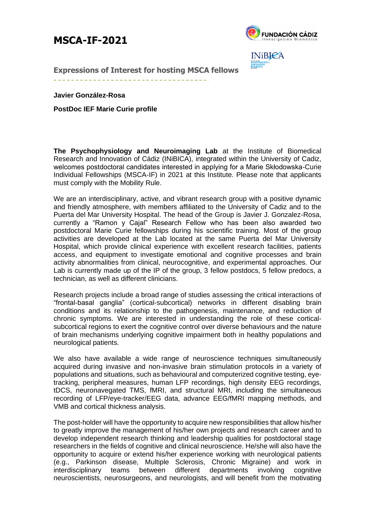## **MSCA-IF-2021**



**INiBIPA** 

**Expressions of Interest for hosting MSCA fellows** 

**Javier González-Rosa**

**PostDoc IEF Marie Curie profile**

**The Psychophysiology and Neuroimaging Lab** at the Institute of Biomedical Research and Innovation of Cádiz (INiBICA), integrated within the University of Cadiz, welcomes postdoctoral candidates interested in applying for a Marie Skłodowska-Curie Individual Fellowships (MSCA-IF) in 2021 at this Institute. Please note that applicants must comply with the Mobility Rule.

We are an interdisciplinary, active, and vibrant research group with a positive dynamic and friendly atmosphere, with members affiliated to the University of Cadiz and to the Puerta del Mar University Hospital. The head of the Group is Javier J. Gonzalez-Rosa, currently a "Ramon y Cajal" Research Fellow who has been also awarded two postdoctoral Marie Curie fellowships during his scientific training. Most of the group activities are developed at the Lab located at the same Puerta del Mar University Hospital, which provide clinical experience with excellent research facilities, patients access, and equipment to investigate emotional and cognitive processes and brain activity abnormalities from clinical, neurocognitive, and experimental approaches. Our Lab is currently made up of the IP of the group, 3 fellow postdocs, 5 fellow predocs, a technician, as well as different clinicians.

Research projects include a broad range of studies assessing the critical interactions of "frontal-basal ganglia" (cortical-subcortical) networks in different disabling brain conditions and its relationship to the pathogenesis, maintenance, and reduction of chronic symptoms. We are interested in understanding the role of these corticalsubcortical regions to exert the cognitive control over diverse behaviours and the nature of brain mechanisms underlying cognitive impairment both in healthy populations and neurological patients.

We also have available a wide range of neuroscience techniques simultaneously acquired during invasive and non-invasive brain stimulation protocols in a variety of populations and situations, such as behavioural and computerized cognitive testing, eyetracking, peripheral measures, human LFP recordings, high density EEG recordings, tDCS, neuronavegated TMS, fMRI, and structural MRI, including the simultaneous recording of LFP/eye-tracker/EEG data, advance EEG/fMRI mapping methods, and VMB and cortical thickness analysis.

The post-holder will have the opportunity to acquire new responsibilities that allow his/her to greatly improve the management of his/her own projects and research career and to develop independent research thinking and leadership qualities for postdoctoral stage researchers in the fields of cognitive and clinical neuroscience. He/she will also have the opportunity to acquire or extend his/her experience working with neurological patients (e.g., Parkinson disease, Multiple Sclerosis, Chronic Migraine) and work in interdisciplinary teams between different departments involving cognitive neuroscientists, neurosurgeons, and neurologists, and will benefit from the motivating